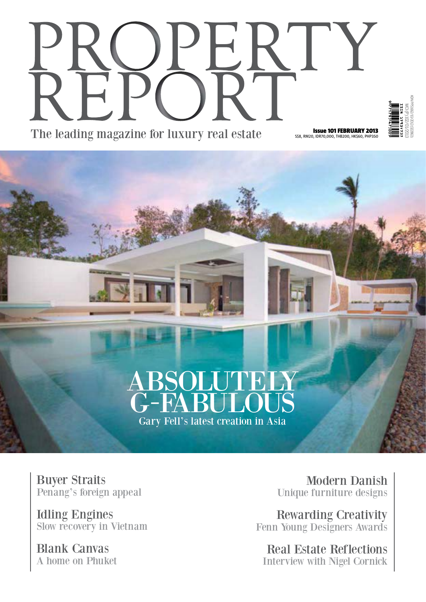# The leading magazine for luxury real estate SSEA, RM20, IDETO, OOO, THE ZOO, HESPOARY 2013 S\$8, RM20, IDR70,000, THB200, HK\$60, PHP350

**ABSOLUTELY** G-FABULOUS Gary Fell's latest creation in Asia

Buyer Straits Penang's foreign appeal

Idling Engines Slow recovery in Vietnam

Blank Canvas A home on Phuket

Modern Danish Unique furniture designs MCI (P) 102/01/2013 KDN PPS 1662/10/2012 (022863)

Rewarding Creativity Fenn Young Designers Awards

Real Estate Reflections Interview with Nigel Cornick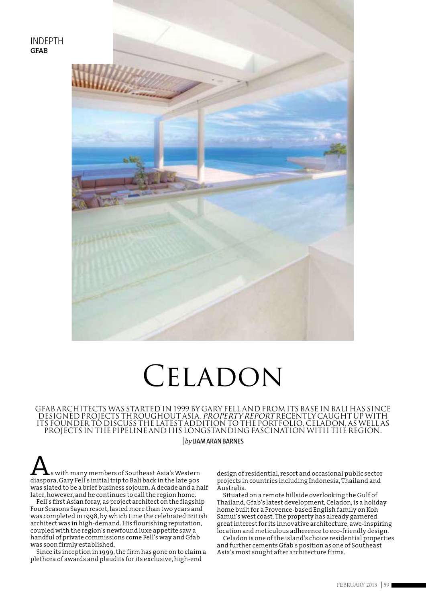# INDEPTH **GFAB**



# CELADON

## GFAB ARCHITECTS WAS STARTED IN 1999 BY GARY FELL AND FROM ITS BASE IN BALI HAS SINCE DESIGNED PROJECTS THROUGHOUT ASIA. PROPERTY REPORT RECENTLY CAUGHT UP WITH ITS FOUNDER TO DISCUSS THE LATEST ADDITION TO THE PORTFOLIO, CELADON, AS WELL AS PROJECTS IN THE PIPELINE AND HIS LONGSTANDING FASCINATION WITH THE REGION.

| *by*LIAM ARAN BARNES

As with many members of Southeast Asia's Western diaspora, Gary Fell's initial trip to Bali back in the late 90s was slated to be a brief business sojourn. A decade and a half later, however, and he continues to call the region home.

Fell's first Asian foray, as project architect on the flagship Four Seasons Sayan resort, lasted more than two years and was completed in 1998, by which time the celebrated British architect was in high-demand. His flourishing reputation, coupled with the region's newfound luxe appetite saw a handful of private commissions come Fell's way and Gfab was soon firmly established.

Since its inception in 1999, the firm has gone on to claim a plethora of awards and plaudits for its exclusive, high-end

design of residential, resort and occasional public sector projects in countries including Indonesia, Thailand and Australia.

Situated on a remote hillside overlooking the Gulf of Thailand, Gfab's latest development, Celadon, is a holiday home built for a Provence-based English family on Koh Samui's west coast. The property has already garnered great interest for its innovative architecture, awe-inspiring location and meticulous adherence to eco-friendly design.

Celadon is one of the island's choice residential properties and further cements Gfab's position as one of Southeast Asia's most sought after architecture firms.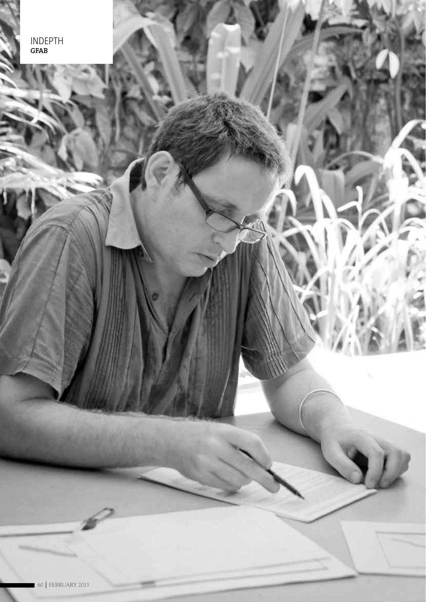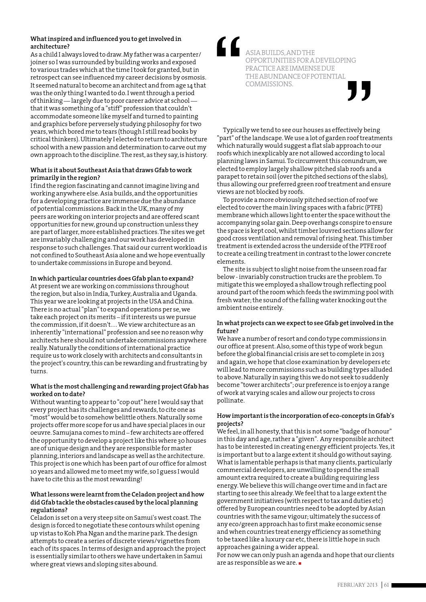### **What inspired and influenced you to get involved in architecture?**

As a child I always loved to draw. My father was a carpenter/ joiner so I was surrounded by building works and exposed to various trades which at the time I took for granted, but in retrospect can see influenced my career decisions by osmosis. It seemed natural to become an architect and from age 14 that was the only thing I wanted to do. I went through a period of thinking — largely due to poor career advice at school that it was something of a "stiff" profession that couldn't accommodate someone like myself and turned to painting and graphics before perversely studying philosophy for two years, which bored me to tears (though I still read books by critical thinkers). Ultimately I elected to return to architecture school with a new passion and determination to carve out my own approach to the discipline. The rest, as they say, is history.

### **What is it about Southeast Asia that draws Gfab to work primarily in the region?**

I find the region fascinating and cannot imagine living and working anywhere else. Asia builds, and the opportunities for a developing practice are immense due the abundance of potential commissions. Back in the UK, many of my peers are working on interior projects and are offered scant opportunities for new, ground up construction unless they are part of larger, more established practices. The sites we get are invariably challenging and our work has developed in response to such challenges. That said our current workload is not confined to Southeast Asia alone and we hope eventually to undertake commissions in Europe and beyond.

### **In which particular countries does Gfab plan to expand?**

At present we are working on commissions throughout the region, but also in India, Turkey, Australia and Uganda. This year we are looking at projects in the USA and China. There is no actual "plan" to expand operations per se, we take each project on its merits – if it interests us we pursue the commission, if it doesn't… We view architecture as an inherently "international" profession and see no reason why architects here should not undertake commissions anywhere really. Naturally the conditions of international practice require us to work closely with architects and consultants in the project's country, this can be rewarding and frustrating by turns.

### **What is the most challenging and rewarding project Gfab has worked on to date?**

Without wanting to appear to "cop out" here I would say that every project has its challenges and rewards, to cite one as "most" would be to somehow belittle others. Naturally some projects offer more scope for us and have special places in our oeuvre. Samujana comes to mind – few architects are offered the opportunity to develop a project like this where 30 houses are of unique design and they are responsible for master planning, interiors and landscape as well as the architecture. This project is one which has been part of our office for almost 10 years and allowed me to meet my wife, so I guess I would have to cite this as the most rewarding!

### **What lessons were learnt from the Celadon project and how did Gfab tackle the obstacles caused by the local planning regulations?**

Celadon is set on a very steep site on Samui's west coast. The design is forced to negotiate these contours whilst opening up vistas to Koh Pha Ngan and the marine park. The design attempts to create a series of discrete views/vignettes from each of its spaces. In terms of design and approach the project is essentially similar to others we have undertaken in Samui where great views and sloping sites abound.



Typically we tend to see our houses as effectively being "part" of the landscape. We use a lot of garden roof treatments which naturally would suggest a flat slab approach to our roofs which inexplicably are not allowed according to local planning laws in Samui. To circumvent this conundrum, we elected to employ largely shallow pitched slab roofs and a parapet to retain soil (over the pitched sections of the slabs), thus allowing our preferred green roof treatment and ensure views are not blocked by roofs.

To provide a more obviously pitched section of roof we elected to cover the main living spaces with a fabric (PTFE) membrane which allows light to enter the space without the accompanying solar gain. Deep overhangs conspire to ensure the space is kept cool, whilst timber louvred sections allow for good cross ventilation and removal of rising heat. This timber treatment is extended across the underside of the PTFE roof to create a ceiling treatment in contrast to the lower concrete elements.

The site is subject to slight noise from the unseen road far below - invariably construction trucks are the problem. To mitigate this we employed a shallow trough reflecting pool around part of the room which feeds the swimming pool with fresh water; the sound of the falling water knocking out the ambient noise entirely.

### **In what projects can we expect to see Gfab get involved in the future?**

We have a number of resort and condo type commissions in our office at present. Also, some of this type of work begun before the global financial crisis are set to complete in 2013 and again, we hope that close examination by developers etc will lead to more commissions such as building types alluded to above. Naturally in saying this we do not seek to suddenly become "tower architects"; our preference is to enjoy a range of work at varying scales and allow our projects to cross pollinate.

### **How important is the incorporation of eco-concepts in Gfab's projects?**

We feel, in all honesty, that this is not some "badge of honour" in this day and age, rather a "given". Any responsible architect has to be interested in creating energy efficient projects. Yes, it is important but to a large extent it should go without saying. What is lamentable perhaps is that many clients, particularly commercial developers, are unwilling to spend the small amount extra required to create a building requiring less energy. We believe this will change over time and in fact are starting to see this already. We feel that to a large extent the government initiatives (with respect to tax and duties etc) offered by European countries need to be adopted by Asian countries with the same vigour; ultimately the success of any eco/green approach has to first make economic sense and when countries treat energy efficiency as something to be taxed like a luxury car etc, there is little hope in such approaches gaining a wider appeal.

For now we can only push an agenda and hope that our clients are as responsible as we are.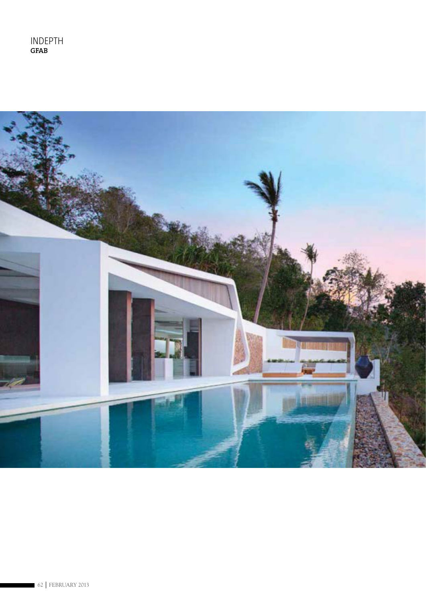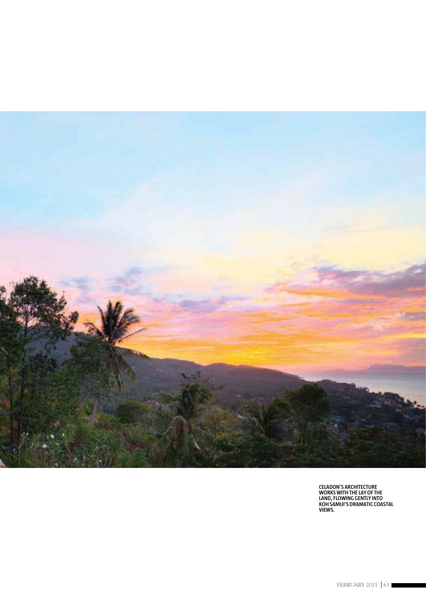

**CELADON'S ARCHITECTURE WORKS WITH THE LAY OF THE LAND, FLOWING GENTLY INTO KOH SAMUI'S DRAMATIC COASTAL VIEWS.**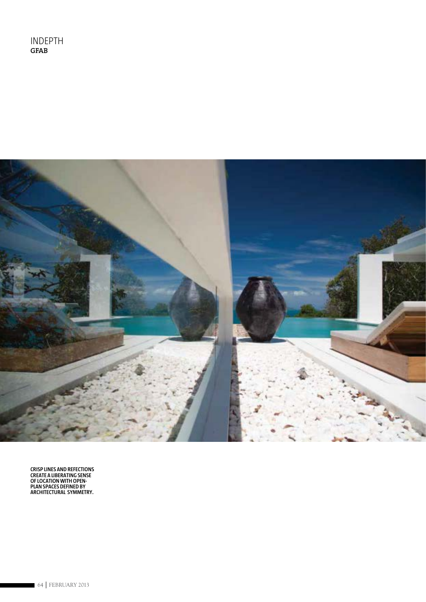

**CRISP LINES AND REFECTIONS CREATE A LIBERATING SENSE OF LOCATION WITH OPEN-PLAN SPACES DEFINED BY ARCHITECTURAL SYMMETRY.**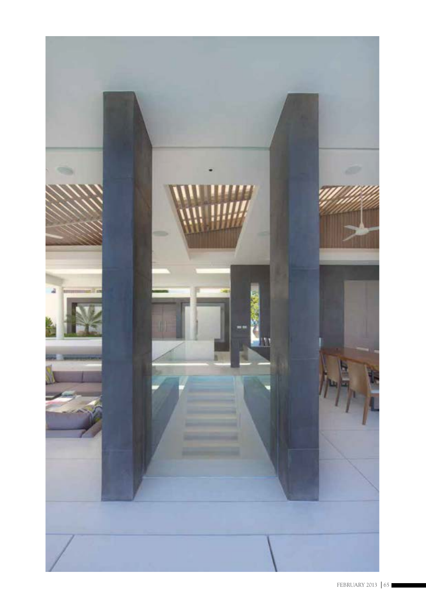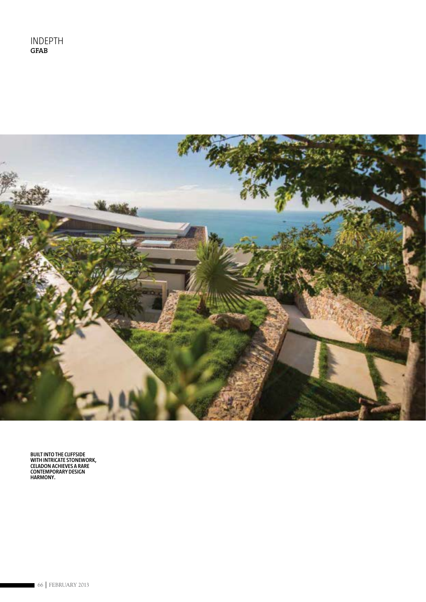

**BUILT INTO THE CLIFFSIDE WITH INTRICATE STONEWORK, CELADON ACHIEVES A RARE CONTEMPORARY DESIGN HARMONY.**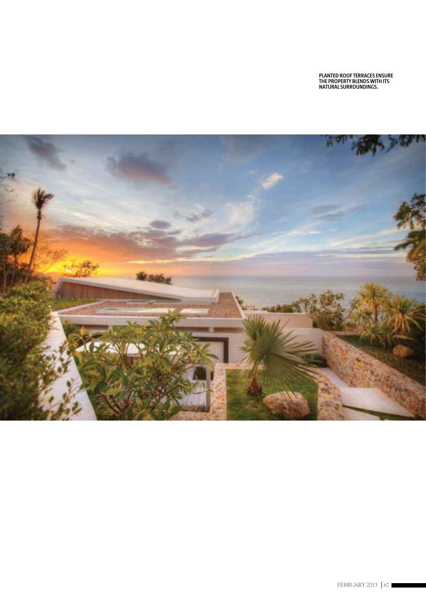**PLANTED ROOF TERRACES ENSURE THE PROPERTY BLENDS WITH ITS NATURAL SURROUNDINGS.**

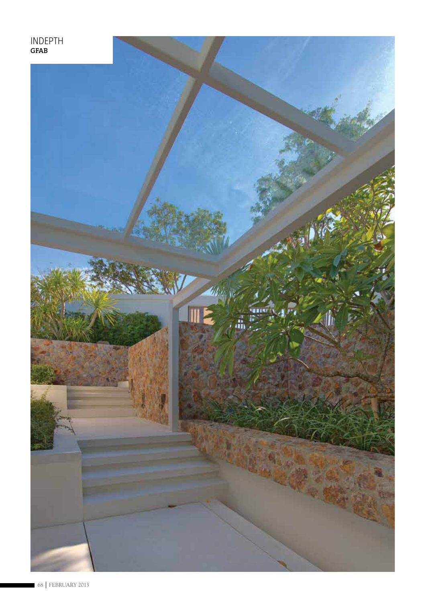

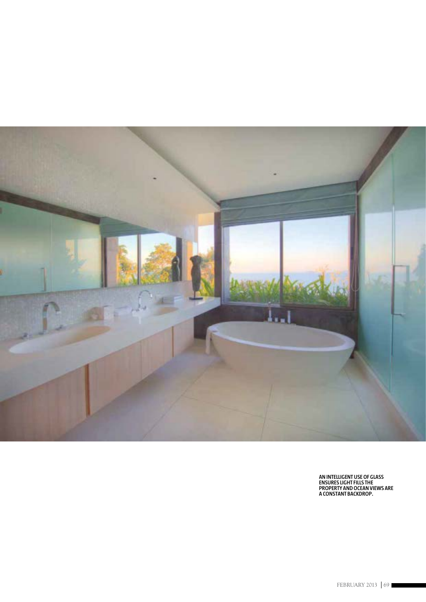

**AN INTELLIGENT USE OF GLASS ENSURES LIGHT FILLS THE PROPERTY AND OCEAN VIEWS ARE A CONSTANT BACKDROP.**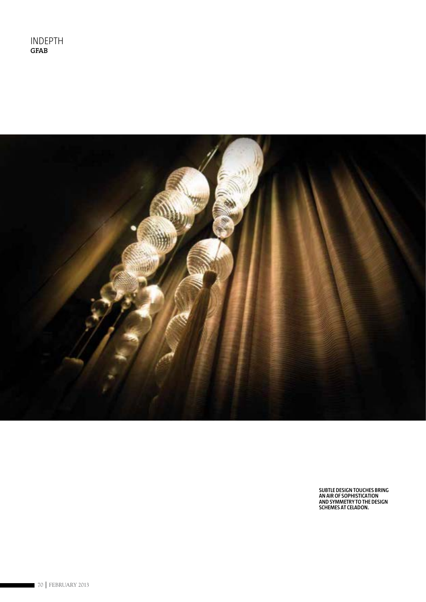

**SUBTLE DESIGN TOUCHES BRING AN AIR OF SOPHISTICATION AND SYMMETRY TO THE DESIGN SCHEMES AT CELADON.**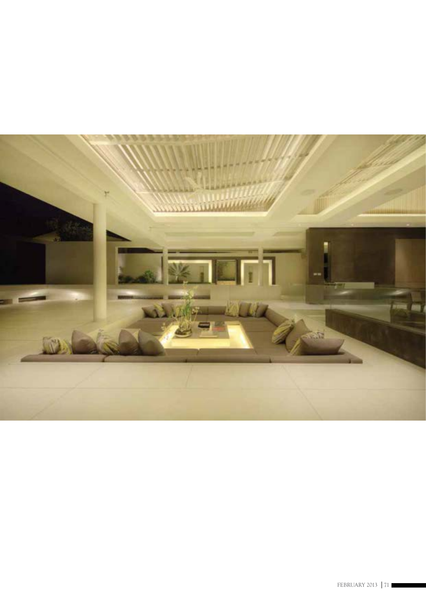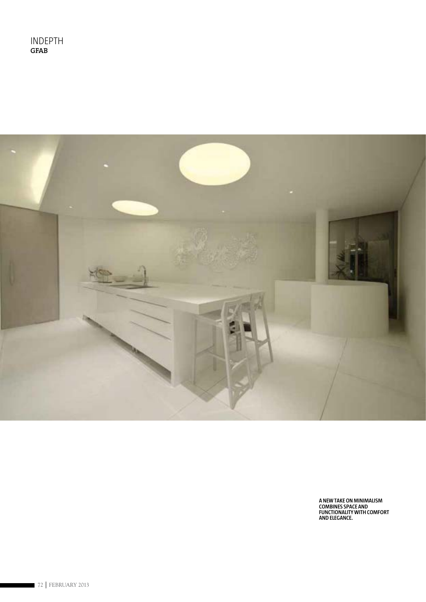

**A NEW TAKE ON MINIMALISM COMBINES SPACE AND FUNCTIONALITY WITH COMFORT AND ELEGANCE.**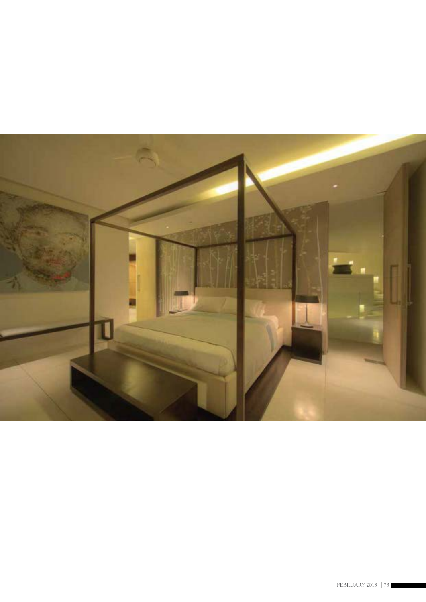